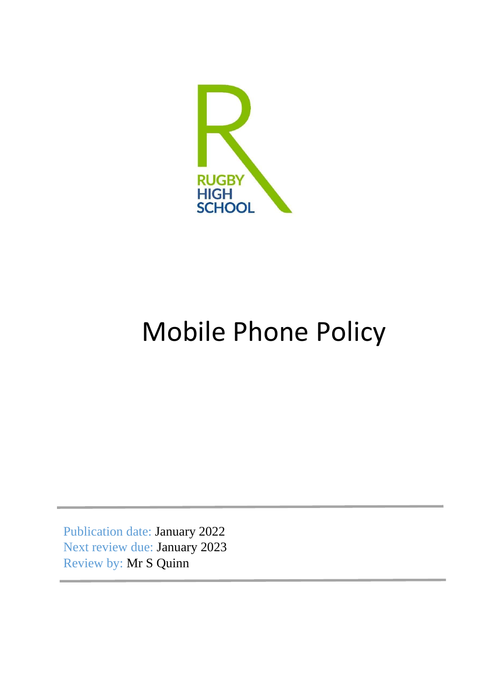

# Mobile Phone Policy

Publication date: January 2022 Next review due: January 2023 Review by: Mr S Quinn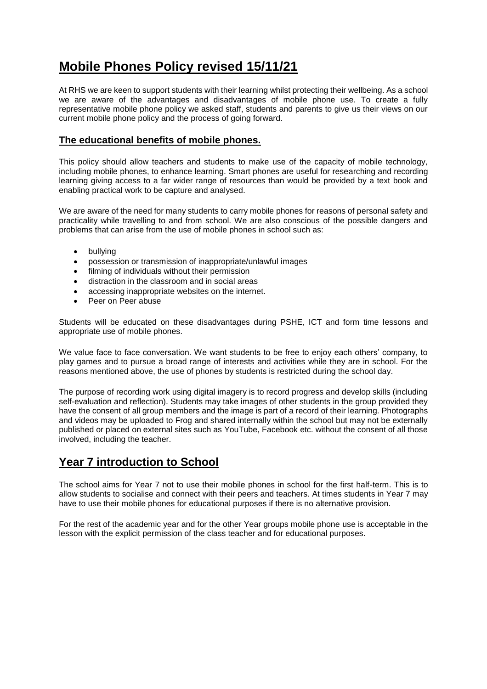# **Mobile Phones Policy revised 15/11/21**

At RHS we are keen to support students with their learning whilst protecting their wellbeing. As a school we are aware of the advantages and disadvantages of mobile phone use. To create a fully representative mobile phone policy we asked staff, students and parents to give us their views on our current mobile phone policy and the process of going forward.

#### **The educational benefits of mobile phones.**

This policy should allow teachers and students to make use of the capacity of mobile technology, including mobile phones, to enhance learning. Smart phones are useful for researching and recording learning giving access to a far wider range of resources than would be provided by a text book and enabling practical work to be capture and analysed.

We are aware of the need for many students to carry mobile phones for reasons of personal safety and practicality while travelling to and from school. We are also conscious of the possible dangers and problems that can arise from the use of mobile phones in school such as:

- bullving
- possession or transmission of inappropriate/unlawful images
- filming of individuals without their permission
- distraction in the classroom and in social areas
- accessing inappropriate websites on the internet.
- Peer on Peer abuse

Students will be educated on these disadvantages during PSHE, ICT and form time lessons and appropriate use of mobile phones.

We value face to face conversation. We want students to be free to enjoy each others' company, to play games and to pursue a broad range of interests and activities while they are in school. For the reasons mentioned above, the use of phones by students is restricted during the school day.

The purpose of recording work using digital imagery is to record progress and develop skills (including self-evaluation and reflection). Students may take images of other students in the group provided they have the consent of all group members and the image is part of a record of their learning. Photographs and videos may be uploaded to Frog and shared internally within the school but may not be externally published or placed on external sites such as YouTube, Facebook etc. without the consent of all those involved, including the teacher.

## **Year 7 introduction to School**

The school aims for Year 7 not to use their mobile phones in school for the first half-term. This is to allow students to socialise and connect with their peers and teachers. At times students in Year 7 may have to use their mobile phones for educational purposes if there is no alternative provision.

For the rest of the academic year and for the other Year groups mobile phone use is acceptable in the lesson with the explicit permission of the class teacher and for educational purposes.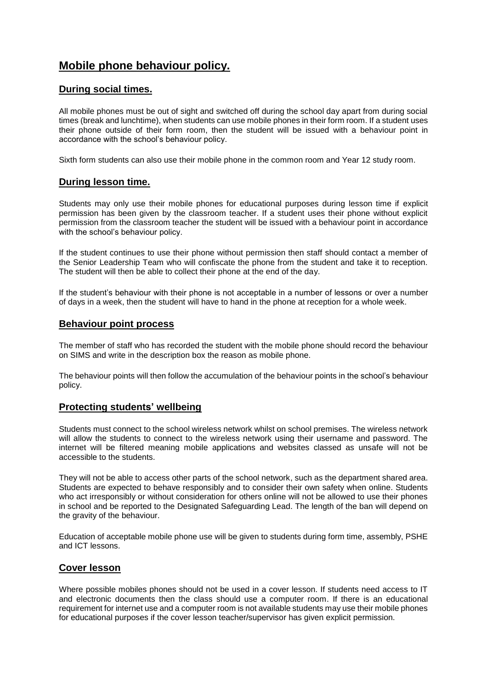### **Mobile phone behaviour policy.**

#### **During social times.**

All mobile phones must be out of sight and switched off during the school day apart from during social times (break and lunchtime), when students can use mobile phones in their form room. If a student uses their phone outside of their form room, then the student will be issued with a behaviour point in accordance with the school's behaviour policy.

Sixth form students can also use their mobile phone in the common room and Year 12 study room.

#### **During lesson time.**

Students may only use their mobile phones for educational purposes during lesson time if explicit permission has been given by the classroom teacher. If a student uses their phone without explicit permission from the classroom teacher the student will be issued with a behaviour point in accordance with the school's behaviour policy.

If the student continues to use their phone without permission then staff should contact a member of the Senior Leadership Team who will confiscate the phone from the student and take it to reception. The student will then be able to collect their phone at the end of the day.

If the student's behaviour with their phone is not acceptable in a number of lessons or over a number of days in a week, then the student will have to hand in the phone at reception for a whole week.

#### **Behaviour point process**

The member of staff who has recorded the student with the mobile phone should record the behaviour on SIMS and write in the description box the reason as mobile phone.

The behaviour points will then follow the accumulation of the behaviour points in the school's behaviour policy.

#### **Protecting students' wellbeing**

Students must connect to the school wireless network whilst on school premises. The wireless network will allow the students to connect to the wireless network using their username and password. The internet will be filtered meaning mobile applications and websites classed as unsafe will not be accessible to the students.

They will not be able to access other parts of the school network, such as the department shared area. Students are expected to behave responsibly and to consider their own safety when online. Students who act irresponsibly or without consideration for others online will not be allowed to use their phones in school and be reported to the Designated Safeguarding Lead. The length of the ban will depend on the gravity of the behaviour.

Education of acceptable mobile phone use will be given to students during form time, assembly, PSHE and ICT lessons.

#### **Cover lesson**

Where possible mobiles phones should not be used in a cover lesson. If students need access to IT and electronic documents then the class should use a computer room. If there is an educational requirement for internet use and a computer room is not available students may use their mobile phones for educational purposes if the cover lesson teacher/supervisor has given explicit permission.